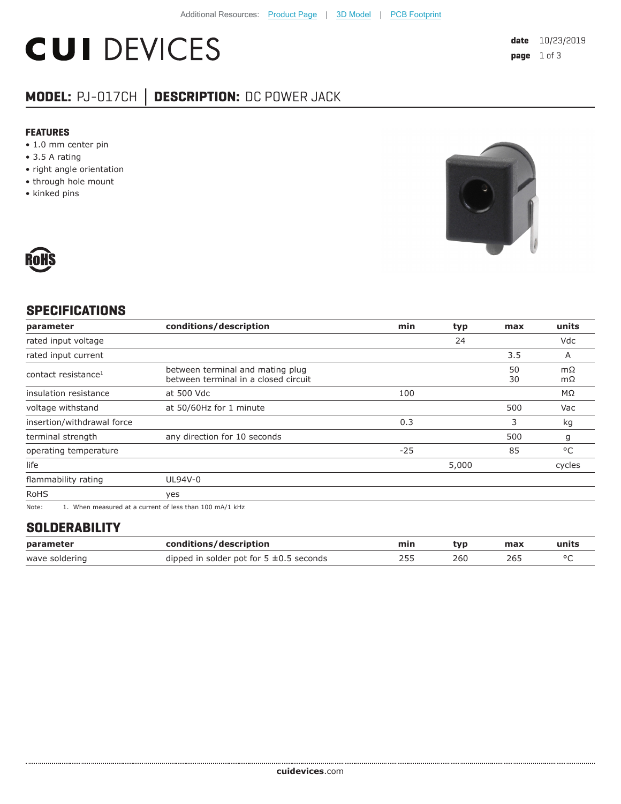# **CUI DEVICES**

## **MODEL:** PJ-017CH **│ DESCRIPTION:** DC POWER JACK

#### **FEATURES**

- 1.0 mm center pin
- 3.5 A rating
- right angle orientation
- through hole mount
- kinked pins





#### **SPECIFICATIONS**

| parameter                       | conditions/description                                                   | min   | typ   | max      | units        |
|---------------------------------|--------------------------------------------------------------------------|-------|-------|----------|--------------|
| rated input voltage             |                                                                          |       | 24    |          | Vdc          |
| rated input current             |                                                                          |       |       | 3.5      | A            |
| contact resistance <sup>1</sup> | between terminal and mating plug<br>between terminal in a closed circuit |       |       | 50<br>30 | mΩ<br>mΩ     |
| insulation resistance           | at 500 Vdc                                                               | 100   |       |          | ΜΩ           |
| voltage withstand               | at 50/60Hz for 1 minute                                                  |       |       | 500      | Vac          |
| insertion/withdrawal force      |                                                                          | 0.3   |       | 3        | kg           |
| terminal strength               | any direction for 10 seconds                                             |       |       | 500      | g            |
| operating temperature           |                                                                          | $-25$ |       | 85       | $^{\circ}$ C |
| life                            |                                                                          |       | 5,000 |          | cycles       |
| flammability rating             | UL94V-0                                                                  |       |       |          |              |
| <b>RoHS</b>                     | yes                                                                      |       |       |          |              |
| $\mathbf{r}$                    |                                                                          |       |       |          |              |

Note: 1. When measured at a current of less than 100 mA/1 kHz

### **SOLDERABILITY**

| parameter      | conditions/description                       | min | tvp | max | units |
|----------------|----------------------------------------------|-----|-----|-----|-------|
| wave soldering | dipped in solder pot for $5 \pm 0.5$ seconds |     | 260 | 26. |       |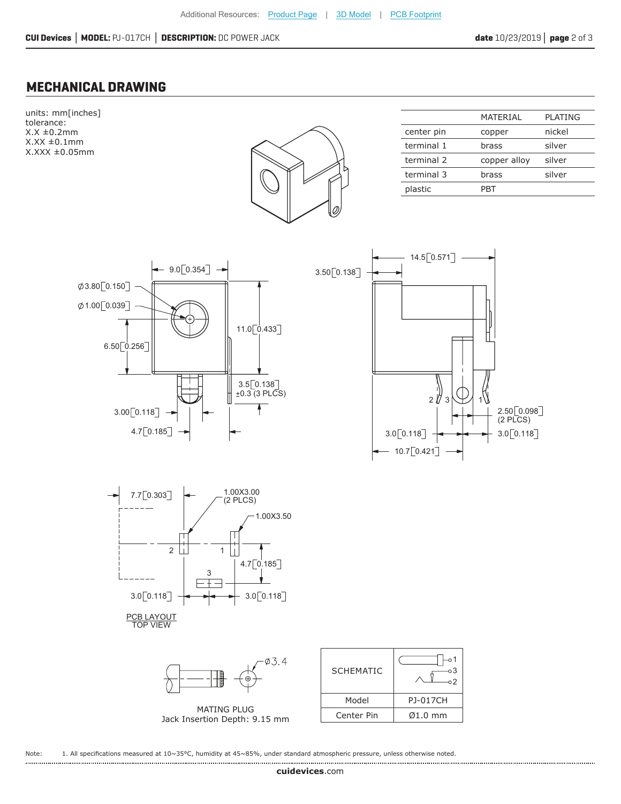#### **MECHANICAL DRAWING**